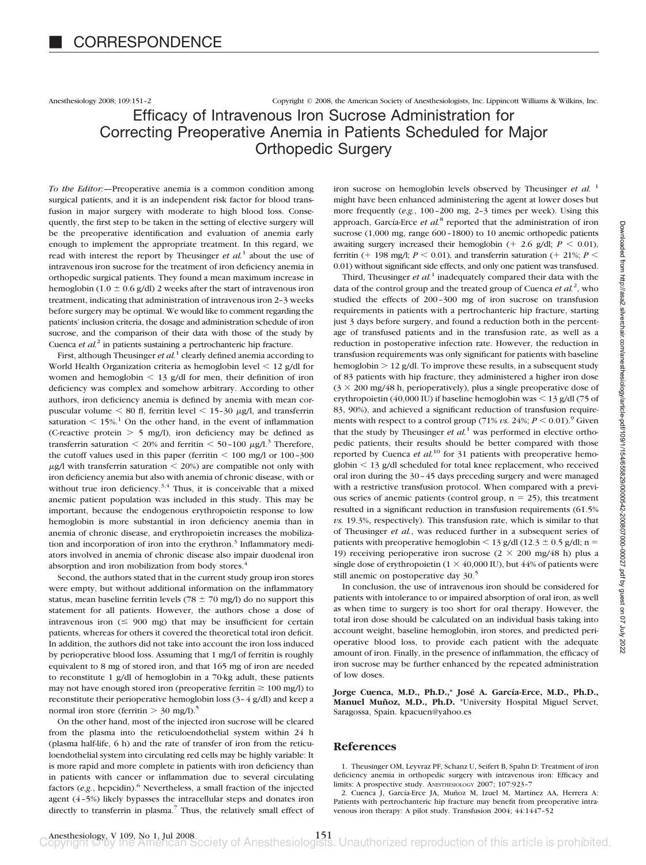Anesthesiology 2008; 109:151–2 Copyright © 2008, the American Society of Anesthesiologists, Inc. Lippincott Williams & Wilkins, Inc.

# Efficacy of Intravenous Iron Sucrose Administration for Correcting Preoperative Anemia in Patients Scheduled for Major Orthopedic Surgery

*To the Editor:—*Preoperative anemia is a common condition among surgical patients, and it is an independent risk factor for blood transfusion in major surgery with moderate to high blood loss. Consequently, the first step to be taken in the setting of elective surgery will be the preoperative identification and evaluation of anemia early enough to implement the appropriate treatment. In this regard, we read with interest the report by Theusinger *et al.*<sup>1</sup> about the use of intravenous iron sucrose for the treatment of iron deficiency anemia in orthopedic surgical patients. They found a mean maximum increase in hemoglobin (1.0  $\pm$  0.6 g/dl) 2 weeks after the start of intravenous iron treatment, indicating that administration of intravenous iron 2–3 weeks before surgery may be optimal. We would like to comment regarding the patients' inclusion criteria, the dosage and administration schedule of iron sucrose, and the comparison of their data with those of the study by Cuenca *et al.*<sup>2</sup> in patients sustaining a pertrochanteric hip fracture.

First, although Theusinger *et al.*<sup>1</sup> clearly defined anemia according to World Health Organization criteria as hemoglobin level  $\leq 12$  g/dl for women and hemoglobin  $\leq 13$  g/dl for men, their definition of iron deficiency was complex and somehow arbitrary. According to other authors, iron deficiency anemia is defined by anemia with mean corpuscular volume  $\leq 80$  fl, ferritin level  $\leq 15-30$   $\mu$ g/l, and transferrin saturation  $\leq 15\%$ .<sup>1</sup> On the other hand, in the event of inflammation (C-reactive protein  $> 5$  mg/l), iron deficiency may be defined as transferrin saturation  $<$  20% and ferritin  $<$  50-100  $\mu$ g/l.<sup>3</sup> Therefore, the cutoff values used in this paper (ferritin  $\leq 100$  mg/l or 100-300  $\mu$ g/l with transferrin saturation < 20%) are compatible not only with iron deficiency anemia but also with anemia of chronic disease, with or without true iron deficiency.<sup>3,4</sup> Thus, it is conceivable that a mixed anemic patient population was included in this study. This may be important, because the endogenous erythropoietin response to low hemoglobin is more substantial in iron deficiency anemia than in anemia of chronic disease, and erythropoietin increases the mobilization and incorporation of iron into the erythron.<sup>3</sup> Inflammatory mediators involved in anemia of chronic disease also impair duodenal iron absorption and iron mobilization from body stores.<sup>4</sup>

Second, the authors stated that in the current study group iron stores were empty, but without additional information on the inflammatory status, mean baseline ferritin levels (78  $\pm$  70 mg/l) do no support this statement for all patients. However, the authors chose a dose of intravenous iron  $(\leq 900 \text{ mg})$  that may be insufficient for certain patients, whereas for others it covered the theoretical total iron deficit. In addition, the authors did not take into account the iron loss induced by perioperative blood loss. Assuming that 1 mg/l of ferritin is roughly equivalent to 8 mg of stored iron, and that 165 mg of iron are needed to reconstitute 1 g/dl of hemoglobin in a 70-kg adult, these patients may not have enough stored iron (preoperative ferritin  $\geq 100$  mg/l) to reconstitute their perioperative hemoglobin loss (3–4 g/dl) and keep a normal iron store (ferritin  $>$  30 mg/l).<sup>5</sup>

On the other hand, most of the injected iron sucrose will be cleared from the plasma into the reticuloendothelial system within 24 h (plasma half-life, 6 h) and the rate of transfer of iron from the reticuloendothelial system into circulating red cells may be highly variable: It is more rapid and more complete in patients with iron deficiency than in patients with cancer or inflammation due to several circulating factors (*e.g.*, hepcidin).6 Nevertheless, a small fraction of the injected agent (4–5%) likely bypasses the intracellular steps and donates iron directly to transferrin in plasma.<sup>7</sup> Thus, the relatively small effect of iron sucrose on hemoglobin levels observed by Theusinger *et al.* <sup>1</sup> might have been enhanced administering the agent at lower doses but more frequently (*e.g.*, 100–200 mg, 2–3 times per week). Using this approach, García-Erce *et al.*<sup>8</sup> reported that the administration of iron sucrose (1,000 mg, range 600-1800) to 10 anemic orthopedic patients awaiting surgery increased their hemoglobin  $(+ 2.6$  g/dl;  $P < 0.01$ ), ferritin ( $+$  198 mg/l;  $P < 0.01$ ), and transferrin saturation ( $+$  21%;  $P <$ 0.01) without significant side effects, and only one patient was transfused.

Third, Theusinger *et al.*<sup>1</sup> inadequately compared their data with the data of the control group and the treated group of Cuenca et al.<sup>2</sup>, who studied the effects of 200–300 mg of iron sucrose on transfusion requirements in patients with a pertrochanteric hip fracture, starting just 3 days before surgery, and found a reduction both in the percentage of transfused patients and in the transfusion rate, as well as a reduction in postoperative infection rate. However, the reduction in transfusion requirements was only significant for patients with baseline hemoglobin  $> 12$  g/dl. To improve these results, in a subsequent study of 83 patients with hip fracture, they administered a higher iron dose  $(3 \times 200 \text{ mg}/48 \text{ h})$ , perioperatively), plus a single preoperative dose of erythropoietin (40,000 IU) if baseline hemoglobin was  $\leq 13$  g/dl (75 of 83, 90%), and achieved a significant reduction of transfusion requirements with respect to a control group (71% *vs.* 24%;  $P < 0.01$ ).<sup>9</sup> Given that the study by Theusinger  $et$   $al$ <sup>1</sup> was performed in elective orthopedic patients, their results should be better compared with those reported by Cuenca et al.<sup>10</sup> for 31 patients with preoperative hemoglobin - 13 g/dl scheduled for total knee replacement, who received oral iron during the 30–45 days preceding surgery and were managed with a restrictive transfusion protocol. When compared with a previous series of anemic patients (control group,  $n = 25$ ), this treatment resulted in a significant reduction in transfusion requirements (61.5% *vs.* 19.3%, respectively). This transfusion rate, which is similar to that of Theusinger *et al.*, was reduced further in a subsequent series of patients with preoperative hemoglobin  $\leq 13$  g/dl (12.3  $\pm$  0.5 g/dl; n = 19) receiving perioperative iron sucrose ( $2 \times 200$  mg/48 h) plus a single dose of erythropoietin ( $1 \times 40,000$  IU), but 44% of patients were still anemic on postoperative day 30.<sup>5</sup>

In conclusion, the use of intravenous iron should be considered for patients with intolerance to or impaired absorption of oral iron, as well as when time to surgery is too short for oral therapy. However, the total iron dose should be calculated on an individual basis taking into account weight, baseline hemoglobin, iron stores, and predicted perioperative blood loss, to provide each patient with the adequate amount of iron. Finally, in the presence of inflammation, the efficacy of iron sucrose may be further enhanced by the repeated administration of low doses.

Jorge Cuenca, M.D., Ph.D.,\* José A. García-Erce, M.D., Ph.D., Manuel Muñoz, M.D., Ph.D. \*University Hospital Miguel Servet, Saragossa, Spain. kpacuen@yahoo.es

#### **References**

1. Theusinger OM, Leyvraz PF, Schanz U, Seifert B, Spahn D: Treatment of iron deficiency anemia in orthopedic surgery with intravenous iron: Efficacy and limits: A prospective study. ANESTHESIOLOGY 2007; 107:923-7

2. Cuenca J, García-Erce JA, Muñoz M, Izuel M, Martínez AA, Herrera A: Patients with pertrochanteric hip fracture may benefit from preoperative intravenous iron therapy: A pilot study. Transfusion 2004; 44:1447–52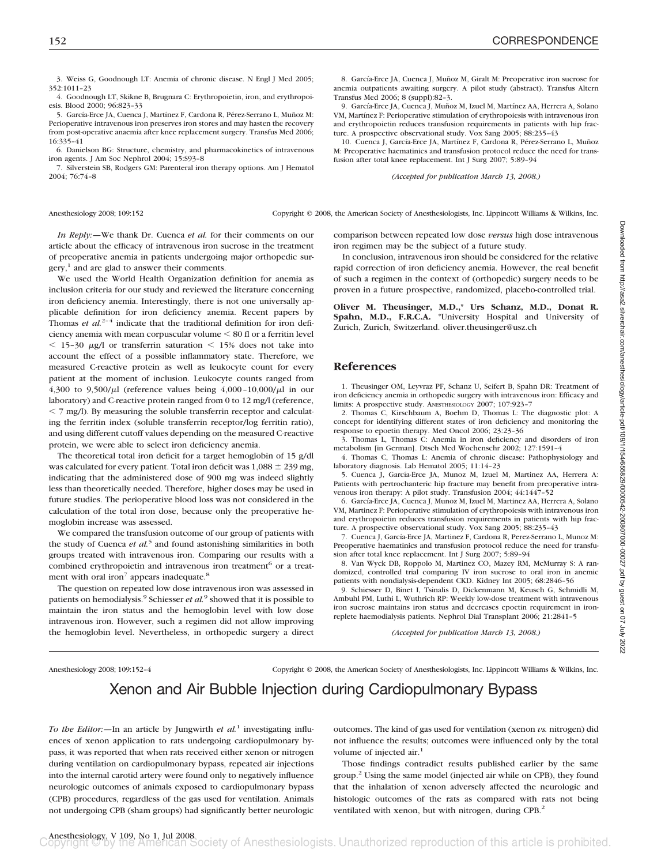3. Weiss G, Goodnough LT: Anemia of chronic disease. N Engl J Med 2005; 352:1011–23

4. Goodnough LT, Skikne B, Brugnara C: Erythropoietin, iron, and erythropoiesis. Blood 2000; 96:823–33

5. García-Erce JA, Cuenca J, Martínez F, Cardona R, Pérez-Serrano L, Muñoz M: Perioperative intravenous iron preserves iron stores and may hasten the recovery from post-operative anaemia after knee replacement surgery. Transfus Med 2006; 16:335–41

6. Danielson BG: Structure, chemistry, and pharmacokinetics of intravenous iron agents. J Am Soc Nephrol 2004; 15:S93–8

7. Silverstein SB, Rodgers GM: Parenteral iron therapy options. Am J Hematol 2004; 76:74–8

Anesthesiology 2008; 109:152 Copyright © 2008, the American Society of Anesthesiologists, Inc. Lippincott Williams & Wilkins, Inc.

fusion after total knee replacement. Int J Surg 2007; 5:89–94

Transfus Med 2006; 8 (suppl):82–3.

*In Reply:—*We thank Dr. Cuenca *et al.* for their comments on our article about the efficacy of intravenous iron sucrose in the treatment of preoperative anemia in patients undergoing major orthopedic sur $g$ ery,<sup>1</sup> and are glad to answer their comments.

We used the World Health Organization definition for anemia as inclusion criteria for our study and reviewed the literature concerning iron deficiency anemia. Interestingly, there is not one universally applicable definition for iron deficiency anemia. Recent papers by Thomas *et al.*<sup>2-4</sup> indicate that the traditional definition for iron deficiency anemia with mean corpuscular volume  $<$  80 fl or a ferritin level  $<$  15-30  $\mu$ g/l or transferrin saturation  $<$  15% does not take into account the effect of a possible inflammatory state. Therefore, we measured C-reactive protein as well as leukocyte count for every patient at the moment of inclusion. Leukocyte counts ranged from 4,300 to 9,500/ $\mu$ l (reference values being 4,000-10,000/ $\mu$ l in our laboratory) and C-reactive protein ranged from 0 to 12 mg/l (reference, - 7 mg/l). By measuring the soluble transferrin receptor and calculating the ferritin index (soluble transferrin receptor/log ferritin ratio), and using different cutoff values depending on the measured C-reactive protein, we were able to select iron deficiency anemia.

The theoretical total iron deficit for a target hemoglobin of 15 g/dl was calculated for every patient. Total iron deficit was  $1,088 \pm 239$  mg, indicating that the administered dose of 900 mg was indeed slightly less than theoretically needed. Therefore, higher doses may be used in future studies. The perioperative blood loss was not considered in the calculation of the total iron dose, because only the preoperative hemoglobin increase was assessed.

We compared the transfusion outcome of our group of patients with the study of Cuenca *et al.*<sup>5</sup> and found astonishing similarities in both groups treated with intravenous iron. Comparing our results with a combined erythropoietin and intravenous iron treatment<sup>6</sup> or a treatment with oral iron<sup>7</sup> appears inadequate.<sup>8</sup>

The question on repeated low dose intravenous iron was assessed in patients on hemodialysis.<sup>9</sup> Schiesser *et al.*<sup>9</sup> showed that it is possible to maintain the iron status and the hemoglobin level with low dose intravenous iron. However, such a regimen did not allow improving the hemoglobin level. Nevertheless, in orthopedic surgery a direct

comparison between repeated low dose *versus* high dose intravenous iron regimen may be the subject of a future study.

8. García-Erce JA, Cuenca J, Muñoz M, Giralt M: Preoperative iron sucrose for anemia outpatients awaiting surgery. A pilot study (abstract). Transfus Altern

9. García-Erce JA, Cuenca J, Muñoz M, Izuel M, Martínez AA, Herrera A, Solano VM, Martínez F: Perioperative stimulation of erythropoiesis with intravenous iron and erythropoietin reduces transfusion requirements in patients with hip fracture. A prospective observational study. Vox Sang 2005; 88:235–43

10. Cuenca J, García-Erce JA, Martínez F, Cardona R, Pérez-Serrano L, Muñoz M: Preoperative haematinics and transfusion protocol reduce the need for trans-

*(Accepted for publication March 13, 2008.)*

In conclusion, intravenous iron should be considered for the relative rapid correction of iron deficiency anemia. However, the real benefit of such a regimen in the context of (orthopedic) surgery needs to be proven in a future prospective, randomized, placebo-controlled trial.

**Oliver M. Theusinger, M.D.,\* Urs Schanz, M.D., Donat R. Spahn, M.D., F.R.C.A.** \*University Hospital and University of Zurich, Zurich, Switzerland. oliver.theusinger@usz.ch

#### **References**

1. Theusinger OM, Leyvraz PF, Schanz U, Seifert B, Spahn DR: Treatment of iron deficiency anemia in orthopedic surgery with intravenous iron: Efficacy and limits: A prospective study. ANESTHESIOLOGY 2007: 107:923-7

2. Thomas C, Kirschbaum A, Boehm D, Thomas L: The diagnostic plot: A concept for identifying different states of iron deficiency and monitoring the response to epoetin therapy. Med Oncol 2006; 23:23–36

3. Thomas L, Thomas C: Anemia in iron deficiency and disorders of iron metabolism [in German]. Dtsch Med Wochenschr 2002; 127:1591–4

4. Thomas C, Thomas L: Anemia of chronic disease: Pathophysiology and laboratory diagnosis. Lab Hematol 2005; 11:14–23

5. Cuenca J, García-Erce JA, Munoz M, Izuel M, Martinez AA, Herrera A: Patients with pertrochanteric hip fracture may benefit from preoperative intravenous iron therapy: A pilot study. Transfusion 2004; 44:1447–52

6. García-Erce JA, Cuenca J, Munoz M, Izuel M, Martinez AA, Herrera A, Solano VM, Martinez F: Perioperative stimulation of erythropoiesis with intravenous iron and erythropoietin reduces transfusion requirements in patients with hip fracture. A prospective observational study. Vox Sang 2005; 88:235–43

7. Cuenca J, García-Erce JA, Martinez F, Cardona R, Perez-Serrano L, Munoz M: Preoperative haematinics and transfusion protocol reduce the need for transfusion after total knee replacement. Int J Surg 2007; 5:89–94

8. Van Wyck DB, Roppolo M, Martinez CO, Mazey RM, McMurray S: A randomized, controlled trial comparing IV iron sucrose to oral iron in anemic patients with nondialysis-dependent CKD. Kidney Int 2005; 68:2846–56

9. Schiesser D, Binet I, Tsinalis D, Dickenmann M, Keusch G, Schmidli M, Ambuhl PM, Luthi L, Wuthrich RP: Weekly low-dose treatment with intravenous iron sucrose maintains iron status and decreases epoetin requirement in ironreplete haemodialysis patients. Nephrol Dial Transplant 2006; 21:2841–5

*(Accepted for publication March 13, 2008.)*

Anesthesiology 2008; 109:152–4 Copyright © 2008, the American Society of Anesthesiologists, Inc. Lippincott Williams & Wilkins, Inc.

# Xenon and Air Bubble Injection during Cardiopulmonary Bypass

*To the Editor:—*In an article by Jungwirth *et al.*<sup>1</sup> investigating influences of xenon application to rats undergoing cardiopulmonary bypass, it was reported that when rats received either xenon or nitrogen during ventilation on cardiopulmonary bypass, repeated air injections into the internal carotid artery were found only to negatively influence neurologic outcomes of animals exposed to cardiopulmonary bypass (CPB) procedures, regardless of the gas used for ventilation. Animals not undergoing CPB (sham groups) had significantly better neurologic

outcomes. The kind of gas used for ventilation (xenon *vs.* nitrogen) did not influence the results; outcomes were influenced only by the total volume of injected air.<sup>1</sup>

Those findings contradict results published earlier by the same group.<sup>2</sup> Using the same model (injected air while on CPB), they found that the inhalation of xenon adversely affected the neurologic and histologic outcomes of the rats as compared with rats not being ventilated with xenon, but with nitrogen, during CPB.<sup>2</sup>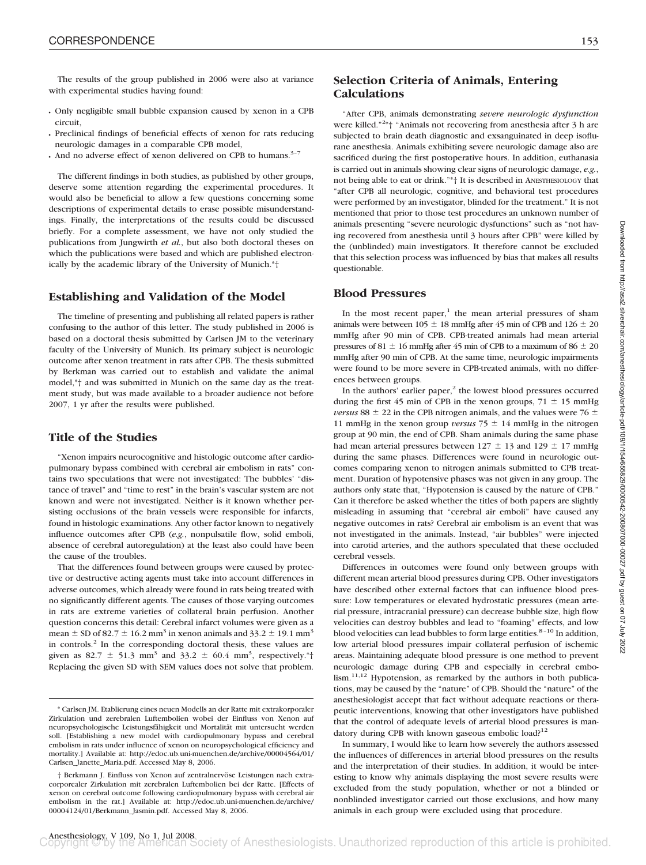The results of the group published in 2006 were also at variance with experimental studies having found:

- Only negligible small bubble expansion caused by xenon in a CPB circuit,
- Preclinical findings of beneficial effects of xenon for rats reducing neurologic damages in a comparable CPB model,
- $\cdot$  And no adverse effect of xenon delivered on CPB to humans.<sup>3-7</sup>

The different findings in both studies, as published by other groups, deserve some attention regarding the experimental procedures. It would also be beneficial to allow a few questions concerning some descriptions of experimental details to erase possible misunderstandings. Finally, the interpretations of the results could be discussed briefly. For a complete assessment, we have not only studied the publications from Jungwirth *et al.*, but also both doctoral theses on which the publications were based and which are published electronically by the academic library of the University of Munich.\*†

#### **Establishing and Validation of the Model**

The timeline of presenting and publishing all related papers is rather confusing to the author of this letter. The study published in 2006 is based on a doctoral thesis submitted by Carlsen JM to the veterinary faculty of the University of Munich. Its primary subject is neurologic outcome after xenon treatment in rats after CPB. The thesis submitted by Berkman was carried out to establish and validate the animal model,\*† and was submitted in Munich on the same day as the treatment study, but was made available to a broader audience not before 2007, 1 yr after the results were published.

#### **Title of the Studies**

"Xenon impairs neurocognitive and histologic outcome after cardiopulmonary bypass combined with cerebral air embolism in rats" contains two speculations that were not investigated: The bubbles' "distance of travel" and "time to rest" in the brain's vascular system are not known and were not investigated. Neither is it known whether persisting occlusions of the brain vessels were responsible for infarcts, found in histologic examinations. Any other factor known to negatively influence outcomes after CPB (*e.g.*, nonpulsatile flow, solid emboli, absence of cerebral autoregulation) at the least also could have been the cause of the troubles.

That the differences found between groups were caused by protective or destructive acting agents must take into account differences in adverse outcomes, which already were found in rats being treated with no significantly different agents. The causes of those varying outcomes in rats are extreme varieties of collateral brain perfusion. Another question concerns this detail: Cerebral infarct volumes were given as a mean  $\pm$  SD of 82.7  $\pm$  16.2 mm<sup>3</sup> in xenon animals and 33.2  $\pm$  19.1 mm<sup>3</sup> in controls.<sup>2</sup> In the corresponding doctoral thesis, these values are given as 82.7  $\pm$  51.3 mm<sup>3</sup> and 33.2  $\pm$  60.4 mm<sup>3</sup>, respectively.\*† Replacing the given SD with SEM values does not solve that problem.

#### **Selection Criteria of Animals, Entering Calculations**

"After CPB, animals demonstrating *severe neurologic dysfunction* were killed."<sup>2\*</sup>† "Animals not recovering from anesthesia after 3 h are subjected to brain death diagnostic and exsanguinated in deep isoflurane anesthesia. Animals exhibiting severe neurologic damage also are sacrificed during the first postoperative hours. In addition, euthanasia is carried out in animals showing clear signs of neurologic damage, *e.g.*, not being able to eat or drink."\*† It is described in ANESTHESIOLOGY that "after CPB all neurologic, cognitive, and behavioral test procedures were performed by an investigator, blinded for the treatment." It is not mentioned that prior to those test procedures an unknown number of animals presenting "severe neurologic dysfunctions" such as "not having recovered from anesthesia until 3 hours after CPB" were killed by the (unblinded) main investigators. It therefore cannot be excluded that this selection process was influenced by bias that makes all results questionable.

#### **Blood Pressures**

In the most recent paper, $1$  the mean arterial pressures of sham animals were between 105  $\pm$  18 mmHg after 45 min of CPB and 126  $\pm$  20 mmHg after 90 min of CPB. CPB-treated animals had mean arterial pressures of 81  $\pm$  16 mmHg after 45 min of CPB to a maximum of 86  $\pm$  20 mmHg after 90 min of CPB. At the same time, neurologic impairments were found to be more severe in CPB-treated animals, with no differences between groups.

In the authors' earlier paper, $2$  the lowest blood pressures occurred during the first 45 min of CPB in the xenon groups,  $71 \pm 15$  mmHg *versus* 88  $\pm$  22 in the CPB nitrogen animals, and the values were 76  $\pm$ 11 mmHg in the xenon group *versus*  $75 \pm 14$  mmHg in the nitrogen group at 90 min, the end of CPB. Sham animals during the same phase had mean arterial pressures between  $127 \pm 13$  and  $129 \pm 17$  mmHg during the same phases. Differences were found in neurologic outcomes comparing xenon to nitrogen animals submitted to CPB treatment. Duration of hypotensive phases was not given in any group. The authors only state that, "Hypotension is caused by the nature of CPB." Can it therefore be asked whether the titles of both papers are slightly misleading in assuming that "cerebral air emboli" have caused any negative outcomes in rats? Cerebral air embolism is an event that was not investigated in the animals. Instead, "air bubbles" were injected into carotid arteries, and the authors speculated that these occluded cerebral vessels.

Differences in outcomes were found only between groups with different mean arterial blood pressures during CPB. Other investigators have described other external factors that can influence blood pressure: Low temperatures or elevated hydrostatic pressures (mean arterial pressure, intracranial pressure) can decrease bubble size, high flow velocities can destroy bubbles and lead to "foaming" effects, and low blood velocities can lead bubbles to form large entities. $8-10$  In addition, low arterial blood pressures impair collateral perfusion of ischemic areas. Maintaining adequate blood pressure is one method to prevent neurologic damage during CPB and especially in cerebral embolism.<sup>11,12</sup> Hypotension, as remarked by the authors in both publications, may be caused by the "nature" of CPB. Should the "nature" of the anesthesiologist accept that fact without adequate reactions or therapeutic interventions, knowing that other investigators have published that the control of adequate levels of arterial blood pressures is mandatory during CPB with known gaseous embolic load?<sup>12</sup>

In summary, I would like to learn how severely the authors assessed the influences of differences in arterial blood pressures on the results and the interpretation of their studies. In addition, it would be interesting to know why animals displaying the most severe results were excluded from the study population, whether or not a blinded or nonblinded investigator carried out those exclusions, and how many animals in each group were excluded using that procedure.

<sup>\*</sup> Carlsen JM. Etablierung eines neuen Modells an der Ratte mit extrakorporaler Zirkulation und zerebralen Luftembolien wobei der Einfluss von Xenon auf neuropsychologische Leistungsfähigkeit und Mortalität mit untersucht werden soll. [Establishing a new model with cardiopulmonary bypass and cerebral embolism in rats under influence of xenon on neuropsychological efficiency and mortality.] Available at: http://edoc.ub.uni-muenchen.de/archive/00004564/01/ Carlsen\_Janette\_Maria.pdf. Accessed May 8, 2006.

<sup>†</sup> Berkmann J. Einfluss von Xenon auf zentralnervöse Leistungen nach extracorporealer Zirkulation mit zerebralen Luftembolien bei der Ratte. [Effects of xenon on cerebral outcome following cardiopulmonary bypass with cerebral air embolism in the rat.] Available at: http://edoc.ub.uni-muenchen.de/archive/ 00004124/01/Berkmann\_Jasmin.pdf. Accessed May 8, 2006.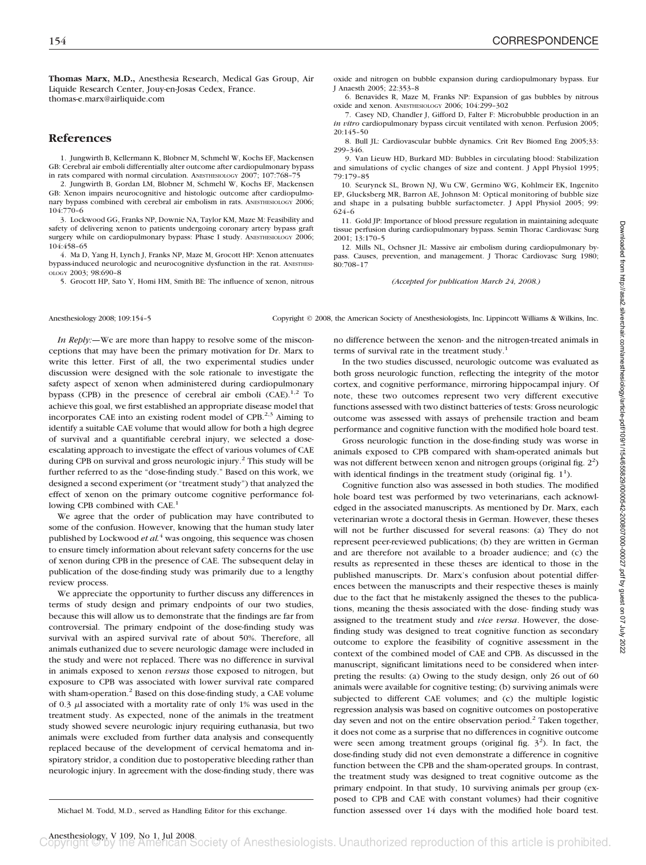**Thomas Marx, M.D.,** Anesthesia Research, Medical Gas Group, Air Liquide Research Center, Jouy-en-Josas Cedex, France. thomas-e.marx@airliquide.com

### **References**

1. Jungwirth B, Kellermann K, Blobner M, Schmehl W, Kochs EF, Mackensen GB: Cerebral air emboli differentially alter outcome after cardiopulmonary bypass in rats compared with normal circulation. ANESTHESIOLOGY 2007; 107:768–75

2. Jungwirth B, Gordan LM, Blobner M, Schmehl W, Kochs EF, Mackensen GB: Xenon impairs neurocognitive and histologic outcome after cardiopulmonary bypass combined with cerebral air embolism in rats. ANESTHESIOLOGY 2006; 104:770–6

3. Lockwood GG, Franks NP, Downie NA, Taylor KM, Maze M: Feasibility and safety of delivering xenon to patients undergoing coronary artery bypass graft surgery while on cardiopulmonary bypass: Phase I study. ANESTHESIOLOGY 2006; 104:458–65

4. Ma D, Yang H, Lynch J, Franks NP, Maze M, Grocott HP: Xenon attenuates bypass-induced neurologic and neurocognitive dysfunction in the rat. ANESTHESI-OLOGY 2003; 98:690–8

5. Grocott HP, Sato Y, Homi HM, Smith BE: The influence of xenon, nitrous

oxide and nitrogen on bubble expansion during cardiopulmonary bypass. Eur J Anaesth 2005; 22:353–8

6. Benavides R, Maze M, Franks NP: Expansion of gas bubbles by nitrous oxide and xenon. ANESTHESIOLOGY 2006; 104:299–302

7. Casey ND, Chandler J, Gifford D, Falter F: Microbubble production in an *in vitro* cardiopulmonary bypass circuit ventilated with xenon. Perfusion 2005; 20:145–50

8. Bull JL: Cardiovascular bubble dynamics. Crit Rev Biomed Eng 2005;33: 299–346.

9. Van Lieuw HD, Burkard MD: Bubbles in circulating blood: Stabilization and simulations of cyclic changes of size and content. J Appl Physiol 1995; 79:179–85

10. Seurynck SL, Brown NJ, Wu CW, Germino WG, Kohlmeir EK, Ingenito EP, Glucksberg MR, Barron AE, Johnson M: Optical monitoring of bubble size and shape in a pulsating bubble surfactometer. J Appl Physiol 2005; 99: 624–6

11. Gold JP: Importance of blood pressure regulation in maintaining adequate tissue perfusion during cardiopulmonary bypass. Semin Thorac Cardiovasc Surg 2001; 13:170–5

12. Mills NL, Ochsner JL: Massive air embolism during cardiopulmonary bypass. Causes, prevention, and management. J Thorac Cardiovasc Surg 1980; 80:708–17

*(Accepted for publication March 24, 2008.)*

Anesthesiology 2008; 109:154–5 Copyright © 2008, the American Society of Anesthesiologists, Inc. Lippincott Williams & Wilkins, Inc.

*In Reply:*—We are more than happy to resolve some of the misconceptions that may have been the primary motivation for Dr. Marx to write this letter. First of all, the two experimental studies under discussion were designed with the sole rationale to investigate the safety aspect of xenon when administered during cardiopulmonary bypass (CPB) in the presence of cerebral air emboli  $(CAE)^{1,2}$  To achieve this goal, we first established an appropriate disease model that incorporates CAE into an existing rodent model of CPB.2,3 Aiming to identify a suitable CAE volume that would allow for both a high degree of survival and a quantifiable cerebral injury, we selected a doseescalating approach to investigate the effect of various volumes of CAE during CPB on survival and gross neurologic injury.<sup>2</sup> This study will be further referred to as the "dose-finding study." Based on this work, we designed a second experiment (or "treatment study") that analyzed the effect of xenon on the primary outcome cognitive performance following CPB combined with CAE.<sup>1</sup>

We agree that the order of publication may have contributed to some of the confusion. However, knowing that the human study later published by Lockwood *et al.*<sup>4</sup> was ongoing, this sequence was chosen to ensure timely information about relevant safety concerns for the use of xenon during CPB in the presence of CAE. The subsequent delay in publication of the dose-finding study was primarily due to a lengthy review process.

We appreciate the opportunity to further discuss any differences in terms of study design and primary endpoints of our two studies, because this will allow us to demonstrate that the findings are far from controversial. The primary endpoint of the dose-finding study was survival with an aspired survival rate of about 50%. Therefore, all animals euthanized due to severe neurologic damage were included in the study and were not replaced. There was no difference in survival in animals exposed to xenon *versus* those exposed to nitrogen, but exposure to CPB was associated with lower survival rate compared with sham-operation.<sup>2</sup> Based on this dose-finding study, a CAE volume of  $0.3$   $\mu$ l associated with a mortality rate of only 1% was used in the treatment study. As expected, none of the animals in the treatment study showed severe neurologic injury requiring euthanasia, but two animals were excluded from further data analysis and consequently replaced because of the development of cervical hematoma and inspiratory stridor, a condition due to postoperative bleeding rather than neurologic injury. In agreement with the dose-finding study, there was

no difference between the xenon- and the nitrogen-treated animals in terms of survival rate in the treatment study.<sup>1</sup>

In the two studies discussed, neurologic outcome was evaluated as both gross neurologic function, reflecting the integrity of the motor cortex, and cognitive performance, mirroring hippocampal injury. Of note, these two outcomes represent two very different executive functions assessed with two distinct batteries of tests: Gross neurologic outcome was assessed with assays of prehensile traction and beam performance and cognitive function with the modified hole board test.

Gross neurologic function in the dose-finding study was worse in animals exposed to CPB compared with sham-operated animals but was not different between xenon and nitrogen groups (original fig.  $2<sup>2</sup>$ ) with identical findings in the treatment study (original fig.  $1^1$ ).

Cognitive function also was assessed in both studies. The modified hole board test was performed by two veterinarians, each acknowledged in the associated manuscripts. As mentioned by Dr. Marx, each veterinarian wrote a doctoral thesis in German. However, these theses will not be further discussed for several reasons: (a) They do not represent peer-reviewed publications; (b) they are written in German and are therefore not available to a broader audience; and (c) the results as represented in these theses are identical to those in the published manuscripts. Dr. Marx's confusion about potential differences between the manuscripts and their respective theses is mainly due to the fact that he mistakenly assigned the theses to the publications, meaning the thesis associated with the dose- finding study was assigned to the treatment study and *vice versa*. However, the dosefinding study was designed to treat cognitive function as secondary outcome to explore the feasibility of cognitive assessment in the context of the combined model of CAE and CPB. As discussed in the manuscript, significant limitations need to be considered when interpreting the results: (a) Owing to the study design, only 26 out of 60 animals were available for cognitive testing; (b) surviving animals were subjected to different CAE volumes; and (c) the multiple logistic regression analysis was based on cognitive outcomes on postoperative day seven and not on the entire observation period.<sup>2</sup> Taken together, it does not come as a surprise that no differences in cognitive outcome were seen among treatment groups (original fig.  $3^2$ ). In fact, the dose-finding study did not even demonstrate a difference in cognitive function between the CPB and the sham-operated groups. In contrast, the treatment study was designed to treat cognitive outcome as the primary endpoint. In that study, 10 surviving animals per group (exposed to CPB and CAE with constant volumes) had their cognitive Michael M. Todd, M.D., served as Handling Editor for this exchange. function assessed over 14 days with the modified hole board test.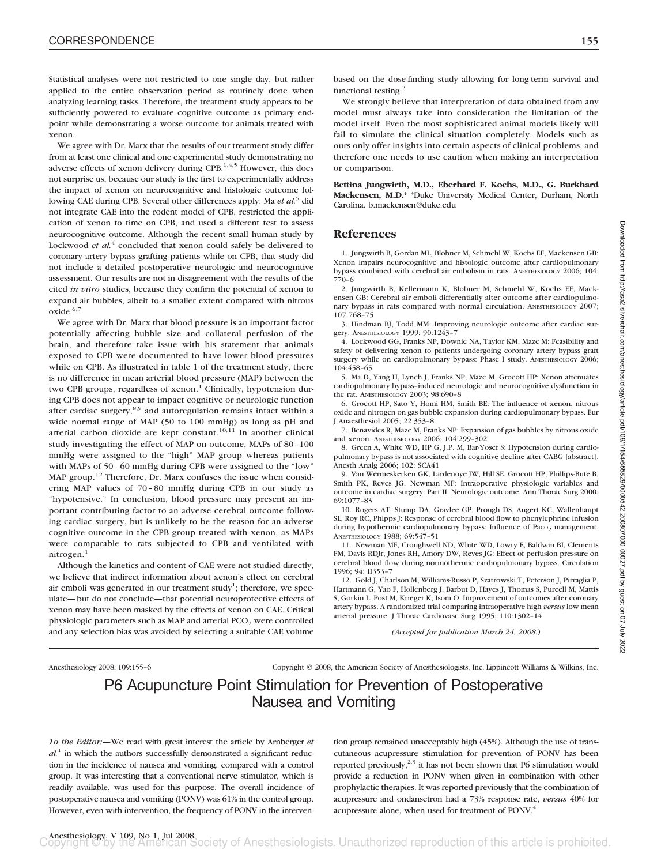Statistical analyses were not restricted to one single day, but rather applied to the entire observation period as routinely done when analyzing learning tasks. Therefore, the treatment study appears to be sufficiently powered to evaluate cognitive outcome as primary endpoint while demonstrating a worse outcome for animals treated with xenon.

We agree with Dr. Marx that the results of our treatment study differ from at least one clinical and one experimental study demonstrating no adverse effects of xenon delivery during CPB.<sup>1,4,5</sup> However, this does not surprise us, because our study is the first to experimentally address the impact of xenon on neurocognitive and histologic outcome following CAE during CPB. Several other differences apply: Ma *et al.*<sup>5</sup> did not integrate CAE into the rodent model of CPB, restricted the application of xenon to time on CPB, and used a different test to assess neurocognitive outcome. Although the recent small human study by Lockwood *et al.*<sup>4</sup> concluded that xenon could safely be delivered to coronary artery bypass grafting patients while on CPB, that study did not include a detailed postoperative neurologic and neurocognitive assessment. Our results are not in disagreement with the results of the cited *in vitro* studies, because they confirm the potential of xenon to expand air bubbles, albeit to a smaller extent compared with nitrous oxide.<sup>6,7</sup>

We agree with Dr. Marx that blood pressure is an important factor potentially affecting bubble size and collateral perfusion of the brain, and therefore take issue with his statement that animals exposed to CPB were documented to have lower blood pressures while on CPB. As illustrated in table 1 of the treatment study, there is no difference in mean arterial blood pressure (MAP) between the two CPB groups, regardless of xenon.<sup>1</sup> Clinically, hypotension during CPB does not appear to impact cognitive or neurologic function after cardiac surgery,<sup>8,9</sup> and autoregulation remains intact within a wide normal range of MAP (50 to 100 mmHg) as long as pH and arterial carbon dioxide are kept constant.10,11 In another clinical study investigating the effect of MAP on outcome, MAPs of 80–100 mmHg were assigned to the "high" MAP group whereas patients with MAPs of 50–60 mmHg during CPB were assigned to the "low" MAP group.<sup>12</sup> Therefore, Dr. Marx confuses the issue when considering MAP values of 70–80 mmHg during CPB in our study as "hypotensive." In conclusion, blood pressure may present an important contributing factor to an adverse cerebral outcome following cardiac surgery, but is unlikely to be the reason for an adverse cognitive outcome in the CPB group treated with xenon, as MAPs were comparable to rats subjected to CPB and ventilated with nitrogen.<sup>1</sup>

Although the kinetics and content of CAE were not studied directly, we believe that indirect information about xenon's effect on cerebral air emboli was generated in our treatment study<sup>1</sup>; therefore, we speculate—but do not conclude—that potential neuroprotective effects of xenon may have been masked by the effects of xenon on CAE. Critical physiologic parameters such as MAP and arterial  $PCO<sub>2</sub>$  were controlled and any selection bias was avoided by selecting a suitable CAE volume

We strongly believe that interpretation of data obtained from any model must always take into consideration the limitation of the model itself. Even the most sophisticated animal models likely will fail to simulate the clinical situation completely. Models such as ours only offer insights into certain aspects of clinical problems, and therefore one needs to use caution when making an interpretation or comparison.

**Bettina Jungwirth, M.D., Eberhard F. Kochs, M.D., G. Burkhard Mackensen, M.D.\*** \*Duke University Medical Center, Durham, North Carolina. b.mackensen@duke.edu

#### **References**

1. Jungwirth B, Gordan ML, Blobner M, Schmehl W, Kochs EF, Mackensen GB: Xenon impairs neurocognitive and histologic outcome after cardiopulmonary bypass combined with cerebral air embolism in rats. ANESTHESIOLOGY 2006; 104: 770–6

2. Jungwirth B, Kellermann K, Blobner M, Schmehl W, Kochs EF, Mackensen GB: Cerebral air emboli differentially alter outcome after cardiopulmonary bypass in rats compared with normal circulation. ANESTHESIOLOGY 2007; 107:768–75

3. Hindman BJ, Todd MM: Improving neurologic outcome after cardiac surgery. ANESTHESIOLOGY 1999; 90:1243–7

4. Lockwood GG, Franks NP, Downie NA, Taylor KM, Maze M: Feasibility and safety of delivering xenon to patients undergoing coronary artery bypass graft surgery while on cardiopulmonary bypass: Phase I study. ANESTHESIOLOGY 2006; 104:458–65

5. Ma D, Yang H, Lynch J, Franks NP, Maze M, Grocott HP: Xenon attenuates cardiopulmonary bypass–induced neurologic and neurocognitive dysfunction in the rat. ANESTHESIOLOGY 2003; 98:690–8

6. Grocott HP, Sato Y, Homi HM, Smith BE: The influence of xenon, nitrous oxide and nitrogen on gas bubble expansion during cardiopulmonary bypass. Eur J Anaesthesiol 2005; 22:353–8

7. Benavides R, Maze M, Franks NP: Expansion of gas bubbles by nitrous oxide and xenon. ANESTHESIOLOGY 2006; 104:299–302

8. Green A, White WD, HP G, J.P. M, Bar-Yosef S: Hypotension during cardiopulmonary bypass is not associated with cognitive decline after CABG [abstract]. Anesth Analg 2006; 102: SCA41

9. Van Wermeskerken GK, Lardenoye JW, Hill SE, Grocott HP, Phillips-Bute B, Smith PK, Reves JG, Newman MF: Intraoperative physiologic variables and outcome in cardiac surgery: Part II. Neurologic outcome. Ann Thorac Surg 2000; 69:1077–83

10. Rogers AT, Stump DA, Gravlee GP, Prough DS, Angert KC, Wallenhaupt SL, Roy RC, Phipps J: Response of cerebral blood flow to phenylephrine infusion during hypothermic cardiopulmonary bypass: Influence of Paco<sub>2</sub> management. ANESTHESIOLOGY 1988; 69:547–51

11. Newman MF, Croughwell ND, White WD, Lowry E, Baldwin BI, Clements FM, Davis RDJr, Jones RH, Amory DW, Reves JG: Effect of perfusion pressure on cerebral blood flow during normothermic cardiopulmonary bypass. Circulation 1996; 94: II353–7

12. Gold J, Charlson M, Williams-Russo P, Szatrowski T, Peterson J, Pirraglia P, Hartmann G, Yao F, Hollenberg J, Barbut D, Hayes J, Thomas S, Purcell M, Mattis S, Gorkin L, Post M, Krieger K, Isom O: Improvement of outcomes after coronary artery bypass. A randomized trial comparing intraoperative high *versus* low mean arterial pressure. J Thorac Cardiovasc Surg 1995; 110:1302–14

*(Accepted for publication March 24, 2008.)*

Anesthesiology 2008; 109:155–6 Copyright © 2008, the American Society of Anesthesiologists, Inc. Lippincott Williams & Wilkins, Inc.

# P6 Acupuncture Point Stimulation for Prevention of Postoperative Nausea and Vomiting

*To the Editor:—*We read with great interest the article by Arnberger *et*  $al<sup>1</sup>$  in which the authors successfully demonstrated a significant reduction in the incidence of nausea and vomiting, compared with a control group. It was interesting that a conventional nerve stimulator, which is readily available, was used for this purpose. The overall incidence of postoperative nausea and vomiting (PONV) was 61% in the control group. However, even with intervention, the frequency of PONV in the intervention group remained unacceptably high (45%). Although the use of transcutaneous acupressure stimulation for prevention of PONV has been reported previously, $^{2,3}$  it has not been shown that P6 stimulation would provide a reduction in PONV when given in combination with other prophylactic therapies. It was reported previously that the combination of acupressure and ondansetron had a 73% response rate, *versus* 40% for acupressure alone, when used for treatment of PONV.<sup>4</sup>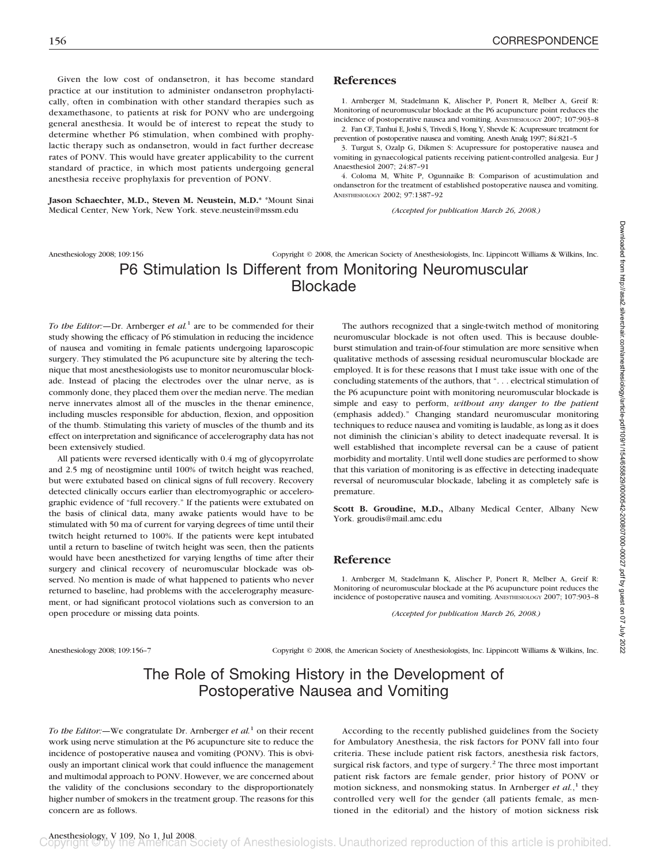Given the low cost of ondansetron, it has become standard practice at our institution to administer ondansetron prophylactically, often in combination with other standard therapies such as dexamethasone, to patients at risk for PONV who are undergoing general anesthesia. It would be of interest to repeat the study to determine whether P6 stimulation, when combined with prophylactic therapy such as ondansetron, would in fact further decrease rates of PONV. This would have greater applicability to the current standard of practice, in which most patients undergoing general anesthesia receive prophylaxis for prevention of PONV.

**Jason Schaechter, M.D., Steven M. Neustein, M.D.\*** \*Mount Sinai Medical Center, New York, New York. steve.neustein@mssm.edu

#### **References**

1. Arnberger M, Stadelmann K, Alischer P, Ponert R, Melber A, Greif R: Monitoring of neuromuscular blockade at the P6 acupuncture point reduces the incidence of postoperative nausea and vomiting. ANESTHESIOLOGY 2007; 107:903–8 2. Fan CF, Tanhui E, Joshi S, Trivedi S, Hong Y, Shevde K: Acupressure treatment for

prevention of postoperative nausea and vomiting. Anesth Analg 1997; 84:821–5 3. Turgut S, Ozalp G, Dikmen S: Acupressure for postoperative nausea and vomiting in gynaecological patients receiving patient-controlled analgesia. Eur J

Anaesthesiol 2007; 24:87–91 4. Coloma M, White P, Ogunnaike B: Comparison of acustimulation and ondansetron for the treatment of established postoperative nausea and vomiting. ANESTHESIOLOGY 2002; 97:1387–92

*(Accepted for publication March 26, 2008.)*

Anesthesiology 2008; 109:156 Copyright © 2008, the American Society of Anesthesiologists, Inc. Lippincott Williams & Wilkins, Inc.

# P6 Stimulation Is Different from Monitoring Neuromuscular Blockade

*To the Editor:*—Dr. Arnberger *et al.*<sup>1</sup> are to be commended for their study showing the efficacy of P6 stimulation in reducing the incidence of nausea and vomiting in female patients undergoing laparoscopic surgery. They stimulated the P6 acupuncture site by altering the technique that most anesthesiologists use to monitor neuromuscular blockade. Instead of placing the electrodes over the ulnar nerve, as is commonly done, they placed them over the median nerve. The median nerve innervates almost all of the muscles in the thenar eminence, including muscles responsible for abduction, flexion, and opposition of the thumb. Stimulating this variety of muscles of the thumb and its effect on interpretation and significance of accelerography data has not been extensively studied.

All patients were reversed identically with 0.4 mg of glycopyrrolate and 2.5 mg of neostigmine until 100% of twitch height was reached, but were extubated based on clinical signs of full recovery. Recovery detected clinically occurs earlier than electromyographic or accelerographic evidence of "full recovery." If the patients were extubated on the basis of clinical data, many awake patients would have to be stimulated with 50 ma of current for varying degrees of time until their twitch height returned to 100%. If the patients were kept intubated until a return to baseline of twitch height was seen, then the patients would have been anesthetized for varying lengths of time after their surgery and clinical recovery of neuromuscular blockade was observed. No mention is made of what happened to patients who never returned to baseline, had problems with the accelerography measurement, or had significant protocol violations such as conversion to an open procedure or missing data points.

The authors recognized that a single-twitch method of monitoring neuromuscular blockade is not often used. This is because doubleburst stimulation and train-of-four stimulation are more sensitive when qualitative methods of assessing residual neuromuscular blockade are employed. It is for these reasons that I must take issue with one of the concluding statements of the authors, that ". . . electrical stimulation of the P6 acupuncture point with monitoring neuromuscular blockade is simple and easy to perform, *without any danger to the patient* (emphasis added)." Changing standard neuromuscular monitoring techniques to reduce nausea and vomiting is laudable, as long as it does not diminish the clinician's ability to detect inadequate reversal. It is well established that incomplete reversal can be a cause of patient morbidity and mortality. Until well done studies are performed to show that this variation of monitoring is as effective in detecting inadequate reversal of neuromuscular blockade, labeling it as completely safe is premature.

**Scott B. Groudine, M.D.,** Albany Medical Center, Albany New York. groudis@mail.amc.edu

#### **Reference**

1. Arnberger M, Stadelmann K, Alischer P, Ponert R, Melber A, Greif R: Monitoring of neuromuscular blockade at the P6 acupuncture point reduces the incidence of postoperative nausea and vomiting. ANESTHESIOLOGY 2007; 107:903–8

*(Accepted for publication March 26, 2008.)*

Anesthesiology 2008; 109:156-7 Copyright © 2008, the American Society of Anesthesiologists, Inc. Lippincott Williams & Wilkins, Inc.

### The Role of Smoking History in the Development of Postoperative Nausea and Vomiting

*To the Editor:—*We congratulate Dr. Arnberger *et al.*<sup>1</sup> on their recent work using nerve stimulation at the P6 acupuncture site to reduce the incidence of postoperative nausea and vomiting (PONV). This is obviously an important clinical work that could influence the management and multimodal approach to PONV. However, we are concerned about the validity of the conclusions secondary to the disproportionately higher number of smokers in the treatment group. The reasons for this concern are as follows.

According to the recently published guidelines from the Society for Ambulatory Anesthesia, the risk factors for PONV fall into four criteria. These include patient risk factors, anesthesia risk factors, surgical risk factors, and type of surgery.<sup>2</sup> The three most important patient risk factors are female gender, prior history of PONV or motion sickness, and nonsmoking status. In Arnberger *et al.*,<sup>1</sup> they controlled very well for the gender (all patients female, as mentioned in the editorial) and the history of motion sickness risk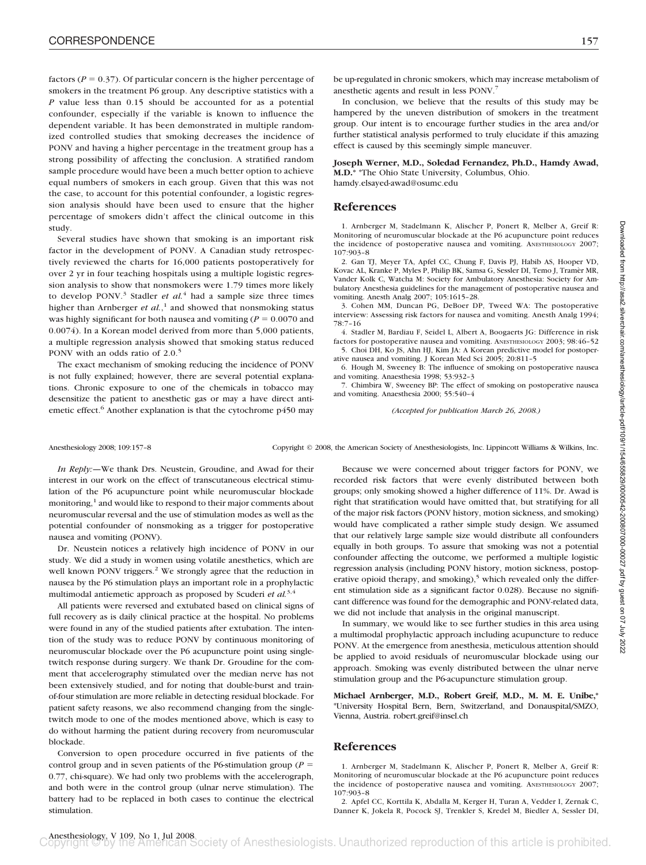factors ( $P = 0.37$ ). Of particular concern is the higher percentage of smokers in the treatment P6 group. Any descriptive statistics with a *P* value less than 0.15 should be accounted for as a potential confounder, especially if the variable is known to influence the dependent variable. It has been demonstrated in multiple randomized controlled studies that smoking decreases the incidence of PONV and having a higher percentage in the treatment group has a strong possibility of affecting the conclusion. A stratified random sample procedure would have been a much better option to achieve equal numbers of smokers in each group. Given that this was not the case, to account for this potential confounder, a logistic regression analysis should have been used to ensure that the higher percentage of smokers didn't affect the clinical outcome in this study.

Several studies have shown that smoking is an important risk factor in the development of PONV. A Canadian study retrospectively reviewed the charts for 16,000 patients postoperatively for over 2 yr in four teaching hospitals using a multiple logistic regression analysis to show that nonsmokers were 1.79 times more likely to develop PONV.<sup>3</sup> Stadler *et al.*<sup>4</sup> had a sample size three times higher than Arnberger *et al.*, <sup>1</sup> and showed that nonsmoking status was highly significant for both nausea and vomiting  $(P = 0.0070$  and 0.0074). In a Korean model derived from more than 5,000 patients, a multiple regression analysis showed that smoking status reduced PONV with an odds ratio of 2.0.<sup>5</sup>

The exact mechanism of smoking reducing the incidence of PONV is not fully explained; however, there are several potential explanations. Chronic exposure to one of the chemicals in tobacco may desensitize the patient to anesthetic gas or may a have direct antiemetic effect.<sup>6</sup> Another explanation is that the cytochrome p450 may Downloaded from http://asa2.silverchair.com/anesthesiology/article-pdf/109/1/154/655829/0000542-200807000-00027.pdf by guest on 07 July 2022 Downloaded from http://asa2.silverchair.com/anesthesiology/article-pdf/109/1/154/655829/0000542-200807000-00027.pdf by guest on 07 July 2022

be up-regulated in chronic smokers, which may increase metabolism of anesthetic agents and result in less PONV.7

In conclusion, we believe that the results of this study may be hampered by the uneven distribution of smokers in the treatment group. Our intent is to encourage further studies in the area and/or further statistical analysis performed to truly elucidate if this amazing effect is caused by this seemingly simple maneuver.

#### **Joseph Werner, M.D., Soledad Fernandez, Ph.D., Hamdy Awad, M.D.\*** \*The Ohio State University, Columbus, Ohio.

hamdy.elsayed-awad@osumc.edu

#### **References**

1. Arnberger M, Stadelmann K, Alischer P, Ponert R, Melber A, Greif R: Monitoring of neuromuscular blockade at the P6 acupuncture point reduces the incidence of postoperative nausea and vomiting. ANESTHESIOLOGY 2007; 107:903–8

2. Gan TJ, Meyer TA, Apfel CC, Chung F, Davis PJ, Habib AS, Hooper VD, Kovac AL, Kranke P, Myles P, Philip BK, Samsa G, Sessler DI, Temo J, Tramèr MR, Vander Kolk C, Watcha M: Society for Ambulatory Anesthesia: Society for Ambulatory Anesthesia guidelines for the management of postoperative nausea and vomiting. Anesth Analg 2007; 105:1615–28.

3. Cohen MM, Duncan PG, DeBoer DP, Tweed WA: The postoperative interview: Assessing risk factors for nausea and vomiting. Anesth Analg 1994; 78:7–16

4. Stadler M, Bardiau F, Seidel L, Albert A, Boogaerts JG: Difference in risk factors for postoperative nausea and vomiting. ANESTHESIOLOGY 2003; 98:46–52 5. Choi DH, Ko JS, Ahn HJ, Kim JA: A Korean predictive model for postoper-

ative nausea and vomiting. J Korean Med Sci 2005; 20:811–5 6. Hough M, Sweeney B: The influence of smoking on postoperative nausea

and vomiting. Anaesthesia 1998; 53:932–3 7. Chimbira W, Sweeney BP: The effect of smoking on postoperative nausea and vomiting. Anaesthesia 2000; 55:540–4

*(Accepted for publication March 26, 2008.)*

Anesthesiology 2008; 109:157–8 Copyright © 2008, the American Society of Anesthesiologists, Inc. Lippincott Williams & Wilkins, Inc.

*In Reply:—*We thank Drs. Neustein, Groudine, and Awad for their interest in our work on the effect of transcutaneous electrical stimulation of the P6 acupuncture point while neuromuscular blockade monitoring,<sup>1</sup> and would like to respond to their major comments about neuromuscular reversal and the use of stimulation modes as well as the potential confounder of nonsmoking as a trigger for postoperative nausea and vomiting (PONV).

Dr. Neustein notices a relatively high incidence of PONV in our study. We did a study in women using volatile anesthetics, which are well known PONV triggers.<sup>2</sup> We strongly agree that the reduction in nausea by the P6 stimulation plays an important role in a prophylactic multimodal antiemetic approach as proposed by Scuderi *et al.*3,4

All patients were reversed and extubated based on clinical signs of full recovery as is daily clinical practice at the hospital. No problems were found in any of the studied patients after extubation. The intention of the study was to reduce PONV by continuous monitoring of neuromuscular blockade over the P6 acupuncture point using singletwitch response during surgery. We thank Dr. Groudine for the comment that accelerography stimulated over the median nerve has not been extensively studied, and for noting that double-burst and trainof-four stimulation are more reliable in detecting residual blockade. For patient safety reasons, we also recommend changing from the singletwitch mode to one of the modes mentioned above, which is easy to do without harming the patient during recovery from neuromuscular blockade.

Conversion to open procedure occurred in five patients of the control group and in seven patients of the P6-stimulation group ( $P =$ 0.77, chi-square). We had only two problems with the accelerograph, and both were in the control group (ulnar nerve stimulation). The battery had to be replaced in both cases to continue the electrical stimulation.

Because we were concerned about trigger factors for PONV, we recorded risk factors that were evenly distributed between both groups; only smoking showed a higher difference of 11%. Dr. Awad is right that stratification would have omitted that, but stratifying for all of the major risk factors (PONV history, motion sickness, and smoking) would have complicated a rather simple study design. We assumed that our relatively large sample size would distribute all confounders equally in both groups. To assure that smoking was not a potential confounder affecting the outcome, we performed a multiple logistic regression analysis (including PONV history, motion sickness, postoperative opioid therapy, and smoking),<sup>5</sup> which revealed only the different stimulation side as a significant factor 0.028). Because no significant difference was found for the demographic and PONV-related data, we did not include that analysis in the original manuscript.

In summary, we would like to see further studies in this area using a multimodal prophylactic approach including acupuncture to reduce PONV. At the emergence from anesthesia, meticulous attention should be applied to avoid residuals of neuromuscular blockade using our approach. Smoking was evenly distributed between the ulnar nerve stimulation group and the P6-acupuncture stimulation group.

**Michael Arnberger, M.D., Robert Greif, M.D., M. M. E. Unibe,\*** \*University Hospital Bern, Bern, Switzerland, and Donauspital/SMZO, Vienna, Austria. robert.greif@insel.ch

#### **References**

1. Arnberger M, Stadelmann K, Alischer P, Ponert R, Melber A, Greif R: Monitoring of neuromuscular blockade at the P6 acupuncture point reduces the incidence of postoperative nausea and vomiting. ANESTHESIOLOGY 2007; 107:903–8

2. Apfel CC, Korttila K, Abdalla M, Kerger H, Turan A, Vedder I, Zernak C, Danner K, Jokela R, Pocock SJ, Trenkler S, Kredel M, Biedler A, Sessler DI,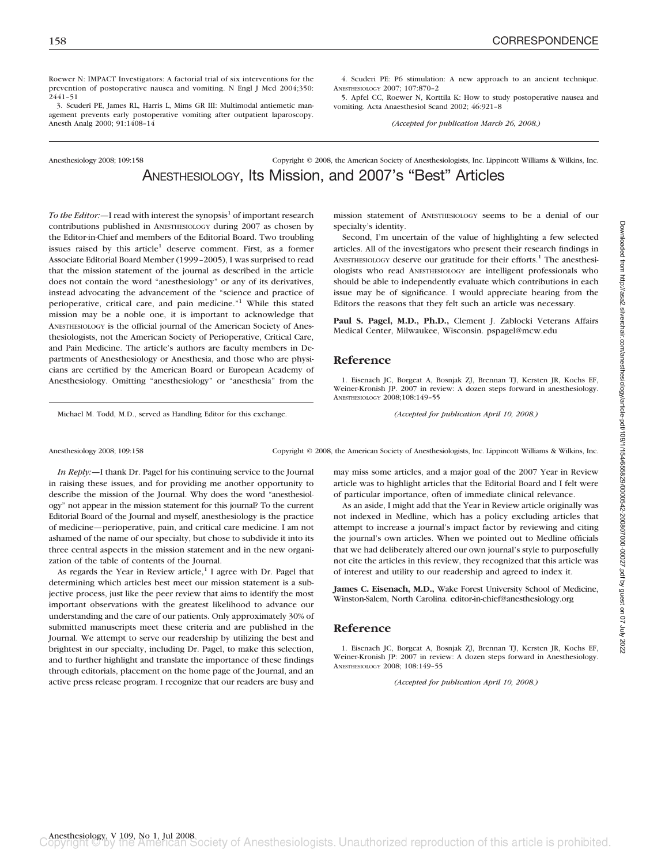Roewer N: IMPACT Investigators: A factorial trial of six interventions for the prevention of postoperative nausea and vomiting. N Engl J Med 2004;350: 2441–51

3. Scuderi PE, James RL, Harris L, Mims GR III: Multimodal antiemetic management prevents early postoperative vomiting after outpatient laparoscopy. Anesth Analg 2000; 91:1408–14

4. Scuderi PE: P6 stimulation: A new approach to an ancient technique. ANESTHESIOLOGY 2007; 107:870–2

5. Apfel CC, Roewer N, Korttila K: How to study postoperative nausea and vomiting. Acta Anaesthesiol Scand 2002; 46:921–8

*(Accepted for publication March 26, 2008.)*

Anesthesiology 2008; 109:158 Copyright © 2008, the American Society of Anesthesiologists, Inc. Lippincott Williams & Wilkins, Inc. ANESTHESIOLOGY, Its Mission, and 2007's "Best" Articles

*To the Editor:*—I read with interest the synopsis<sup>1</sup> of important research contributions published in ANESTHESIOLOGY during 2007 as chosen by the Editor-in-Chief and members of the Editorial Board. Two troubling issues raised by this article<sup>1</sup> deserve comment. First, as a former Associate Editorial Board Member (1999–2005), I was surprised to read that the mission statement of the journal as described in the article does not contain the word "anesthesiology" or any of its derivatives, instead advocating the advancement of the "science and practice of perioperative, critical care, and pain medicine."<sup>1</sup> While this stated mission may be a noble one, it is important to acknowledge that ANESTHESIOLOGY is the official journal of the American Society of Anesthesiologists, not the American Society of Perioperative, Critical Care, and Pain Medicine. The article's authors are faculty members in Departments of Anesthesiology or Anesthesia, and those who are physicians are certified by the American Board or European Academy of Anesthesiology. Omitting "anesthesiology" or "anesthesia" from the

mission statement of ANESTHESIOLOGY seems to be a denial of our specialty's identity.

Second, I'm uncertain of the value of highlighting a few selected articles. All of the investigators who present their research findings in ANESTHESIOLOGY deserve our gratitude for their efforts.<sup>1</sup> The anesthesiologists who read ANESTHESIOLOGY are intelligent professionals who should be able to independently evaluate which contributions in each issue may be of significance. I would appreciate hearing from the Editors the reasons that they felt such an article was necessary.

**Paul S. Pagel, M.D., Ph.D.,** Clement J. Zablocki Veterans Affairs Medical Center, Milwaukee, Wisconsin. pspagel@mcw.edu

#### **Reference**

1. Eisenach JC, Borgeat A, Bosnjak ZJ, Brennan TJ, Kersten JR, Kochs EF, Weiner-Kronish JP. 2007 in review: A dozen steps forward in anesthesiology. ANESTHESIOLOGY 2008;108:149–55

*(Accepted for publication April 10, 2008.)*

Anesthesiology 2008; 109:158 Copyright © 2008, the American Society of Anesthesiologists, Inc. Lippincott Williams & Wilkins, Inc.

*In Reply:—*I thank Dr. Pagel for his continuing service to the Journal in raising these issues, and for providing me another opportunity to describe the mission of the Journal. Why does the word "anesthesiology" not appear in the mission statement for this journal? To the current Editorial Board of the Journal and myself, anesthesiology is the practice of medicine—perioperative, pain, and critical care medicine. I am not ashamed of the name of our specialty, but chose to subdivide it into its three central aspects in the mission statement and in the new organization of the table of contents of the Journal.

Michael M. Todd, M.D., served as Handling Editor for this exchange.

As regards the Year in Review article,<sup>1</sup> I agree with Dr. Pagel that determining which articles best meet our mission statement is a subjective process, just like the peer review that aims to identify the most important observations with the greatest likelihood to advance our understanding and the care of our patients. Only approximately 30% of submitted manuscripts meet these criteria and are published in the Journal. We attempt to serve our readership by utilizing the best and brightest in our specialty, including Dr. Pagel, to make this selection, and to further highlight and translate the importance of these findings through editorials, placement on the home page of the Journal, and an active press release program. I recognize that our readers are busy and

may miss some articles, and a major goal of the 2007 Year in Review article was to highlight articles that the Editorial Board and I felt were of particular importance, often of immediate clinical relevance.

As an aside, I might add that the Year in Review article originally was not indexed in Medline, which has a policy excluding articles that attempt to increase a journal's impact factor by reviewing and citing the journal's own articles. When we pointed out to Medline officials that we had deliberately altered our own journal's style to purposefully not cite the articles in this review, they recognized that this article was of interest and utility to our readership and agreed to index it.

**James C. Eisenach, M.D.,** Wake Forest University School of Medicine, Winston-Salem, North Carolina. editor-in-chief@anesthesiology.org

#### **Reference**

1. Eisenach JC, Borgeat A, Bosnjak ZJ, Brennan TJ, Kersten JR, Kochs EF, Weiner-Kronish JP: 2007 in review: A dozen steps forward in Anesthesiology. ANESTHESIOLOGY 2008; 108:149–55

*(Accepted for publication April 10, 2008.)*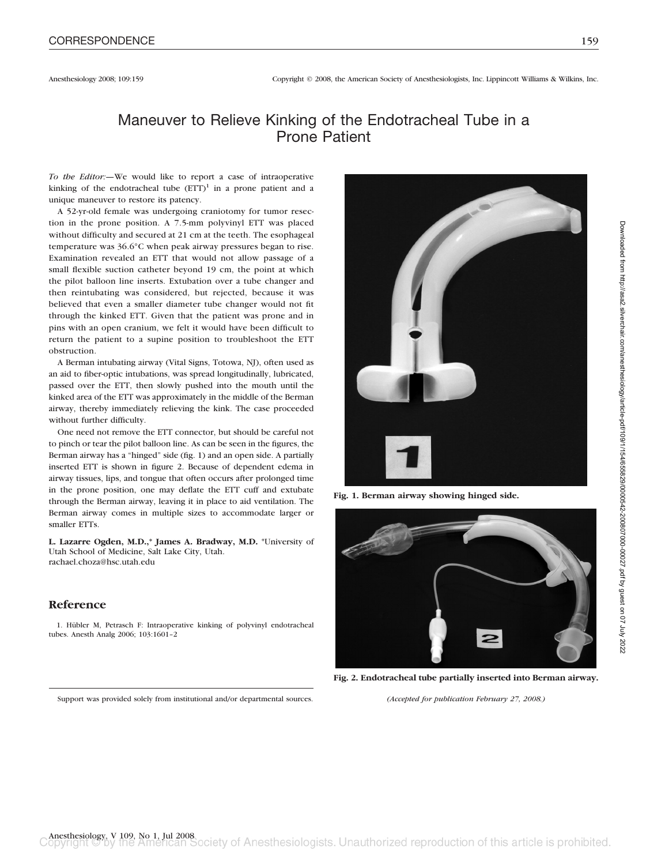## Maneuver to Relieve Kinking of the Endotracheal Tube in a Prone Patient

*To the Editor:—*We would like to report a case of intraoperative kinking of the endotracheal tube  $(ETT)^1$  in a prone patient and a unique maneuver to restore its patency.

A 52-yr-old female was undergoing craniotomy for tumor resection in the prone position. A 7.5-mm polyvinyl ETT was placed without difficulty and secured at 21 cm at the teeth. The esophageal temperature was 36.6°C when peak airway pressures began to rise. Examination revealed an ETT that would not allow passage of a small flexible suction catheter beyond 19 cm, the point at which the pilot balloon line inserts. Extubation over a tube changer and then reintubating was considered, but rejected, because it was believed that even a smaller diameter tube changer would not fit through the kinked ETT. Given that the patient was prone and in pins with an open cranium, we felt it would have been difficult to return the patient to a supine position to troubleshoot the ETT obstruction.

A Berman intubating airway (Vital Signs, Totowa, NJ), often used as an aid to fiber-optic intubations, was spread longitudinally, lubricated, passed over the ETT, then slowly pushed into the mouth until the kinked area of the ETT was approximately in the middle of the Berman airway, thereby immediately relieving the kink. The case proceeded without further difficulty.

One need not remove the ETT connector, but should be careful not to pinch or tear the pilot balloon line. As can be seen in the figures, the Berman airway has a "hinged" side (fig. 1) and an open side. A partially inserted ETT is shown in figure 2. Because of dependent edema in airway tissues, lips, and tongue that often occurs after prolonged time in the prone position, one may deflate the ETT cuff and extubate through the Berman airway, leaving it in place to aid ventilation. The Berman airway comes in multiple sizes to accommodate larger or smaller ETTs.

**L. Lazarre Ogden, M.D.,\* James A. Bradway, M.D.** \*University of Utah School of Medicine, Salt Lake City, Utah. rachael.choza@hsc.utah.edu

#### **Reference**

1. Hübler M, Petrasch F: Intraoperative kinking of polyvinyl endotracheal tubes. Anesth Analg 2006; 103:1601–2





**Fig. 1. Berman airway showing hinged side.**



**Fig. 2. Endotracheal tube partially inserted into Berman airway.**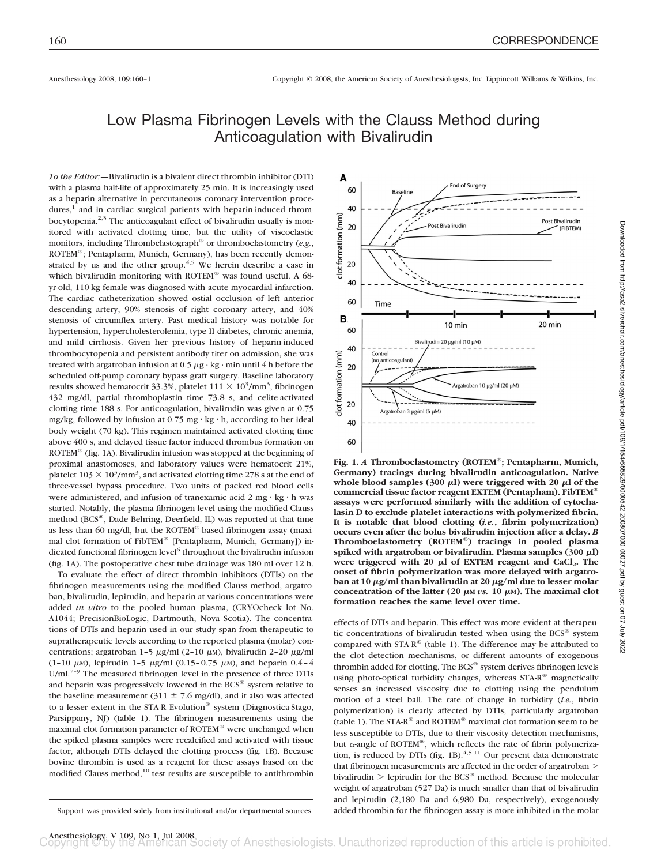Anesthesiology 2008; 109:160–1 Copyright © 2008, the American Society of Anesthesiologists, Inc. Lippincott Williams & Wilkins, Inc.

## Low Plasma Fibrinogen Levels with the Clauss Method during Anticoagulation with Bivalirudin

*To the Editor:—*Bivalirudin is a bivalent direct thrombin inhibitor (DTI) with a plasma half-life of approximately 25 min. It is increasingly used as a heparin alternative in percutaneous coronary intervention procedures,<sup>1</sup> and in cardiac surgical patients with heparin-induced thrombocytopenia.<sup>2,3</sup> The anticoagulant effect of bivalirudin usually is monitored with activated clotting time, but the utility of viscoelastic monitors, including Thrombelastograph® or thromboelastometry (*e.g.*, ROTEM®; Pentapharm, Munich, Germany), has been recently demonstrated by us and the other group.<sup>4,5</sup> We herein describe a case in which bivalirudin monitoring with ROTEM® was found useful. A 68yr-old, 110-kg female was diagnosed with acute myocardial infarction. The cardiac catheterization showed ostial occlusion of left anterior descending artery, 90% stenosis of right coronary artery, and 40% stenosis of circumflex artery. Past medical history was notable for hypertension, hypercholesterolemia, type II diabetes, chronic anemia, and mild cirrhosis. Given her previous history of heparin-induced thrombocytopenia and persistent antibody titer on admission, she was treated with argatroban infusion at 0.5  $\mu$ g · kg · min until 4 h before the scheduled off-pump coronary bypass graft surgery. Baseline laboratory results showed hematocrit 33.3%, platelet  $111 \times 10^3/\text{mm}^3$ , fibrinogen 432 mg/dl, partial thromboplastin time 73.8 s, and celite-activated clotting time 188 s. For anticoagulation, bivalirudin was given at 0.75 mg/kg, followed by infusion at  $0.75$  mg·kg·h, according to her ideal body weight (70 kg). This regimen maintained activated clotting time above 400 s, and delayed tissue factor induced thrombus formation on ROTEM® (fig. 1A). Bivalirudin infusion was stopped at the beginning of proximal anastomoses, and laboratory values were hematocrit 21%, platelet  $103 \times 10^3/\text{mm}^3$ , and activated clotting time 278 s at the end of three-vessel bypass procedure. Two units of packed red blood cells were administered, and infusion of tranexamic acid  $2 \text{ mg} \cdot \text{kg} \cdot \text{h}$  was started. Notably, the plasma fibrinogen level using the modified Clauss method (BCS®, Dade Behring, Deerfield, IL) was reported at that time as less than 60 mg/dl, but the ROTEM®-based fibrinogen assay (maximal clot formation of FibTEM® [Pentapharm, Munich, Germany]) indicated functional fibrinogen level<sup>6</sup> throughout the bivalirudin infusion (fig. 1A). The postoperative chest tube drainage was 180 ml over 12 h.

To evaluate the effect of direct thrombin inhibitors (DTIs) on the fibrinogen measurements using the modified Clauss method, argatroban, bivalirudin, lepirudin, and heparin at various concentrations were added *in vitro* to the pooled human plasma, (CRYOcheck lot No. A1044; PrecisionBioLogic, Dartmouth, Nova Scotia). The concentrations of DTIs and heparin used in our study span from therapeutic to supratherapeutic levels according to the reported plasma (molar) concentrations; argatroban 1-5  $\mu$ g/ml (2-10  $\mu$ M), bivalirudin 2-20  $\mu$ g/ml (1-10  $\mu$ M), lepirudin 1-5  $\mu$ g/ml (0.15-0.75  $\mu$ M), and heparin 0.4-4 U/ml.<sup>7-9</sup> The measured fibrinogen level in the presence of three DTIs and heparin was progressively lowered in the BCS® system relative to the baseline measurement (311  $\pm$  7.6 mg/dl), and it also was affected to a lesser extent in the STA-R Evolution® system (Diagnostica-Stago, Parsippany, NJ) (table 1). The fibrinogen measurements using the maximal clot formation parameter of ROTEM® were unchanged when the spiked plasma samples were recalcified and activated with tissue factor, although DTIs delayed the clotting process (fig. 1B). Because bovine thrombin is used as a reagent for these assays based on the modified Clauss method,<sup>10</sup> test results are susceptible to antithrombin





**Fig. 1.** *A* **Thromboelastometry (ROTEM®; Pentapharm, Munich, Germany) tracings during bivalirudin anticoagulation. Native** whole blood samples  $(300 \mu l)$  were triggered with 20  $\mu l$  of the **commercial tissue factor reagent EXTEM (Pentapham). FibTEM® assays were performed similarly with the addition of cytochalasin D to exclude platelet interactions with polymerized fibrin. It is notable that blood clotting (***i.e.***, fibrin polymerization) occurs even after the bolus bivalirudin injection after a delay.** *B* **Thromboelastometry (ROTEM®) tracings in pooled plasma spiked with argatroban or bivalirudin. Plasma samples (300 l)** were triggered with 20  $\mu$ l of EXTEM reagent and CaCl<sub>2</sub>. The **onset of fibrin polymerization was more delayed with argatroban at 10 g/ml than bivalirudin at 20 g/ml due to lesser molar** concentration of the latter (20  $\mu$ M *vs.* 10  $\mu$ M). The maximal clot **formation reaches the same level over time.**

effects of DTIs and heparin. This effect was more evident at therapeutic concentrations of bivalirudin tested when using the BCS® system compared with STA-R® (table 1). The difference may be attributed to the clot detection mechanisms, or different amounts of exogenous thrombin added for clotting. The BCS® system derives fibrinogen levels using photo-optical turbidity changes, whereas STA-R® magnetically senses an increased viscosity due to clotting using the pendulum motion of a steel ball. The rate of change in turbidity (*i.e.*, fibrin polymerization) is clearly affected by DTIs, particularly argatroban (table 1). The STA-R® and ROTEM® maximal clot formation seem to be less susceptible to DTIs, due to their viscosity detection mechanisms, but  $\alpha$ -angle of ROTEM®, which reflects the rate of fibrin polymerization, is reduced by DTIs (fig. 1B).<sup>4,5,11</sup> Our present data demonstrate that fibrinogen measurements are affected in the order of argatroban bivalirudin  $>$  lepirudin for the BCS<sup>®</sup> method. Because the molecular weight of argatroban (527 Da) is much smaller than that of bivalirudin and lepirudin (2,180 Da and 6,980 Da, respectively), exogenously Support was provided solely from institutional and/or departmental sources. added thrombin for the fibrinogen assay is more inhibited in the molar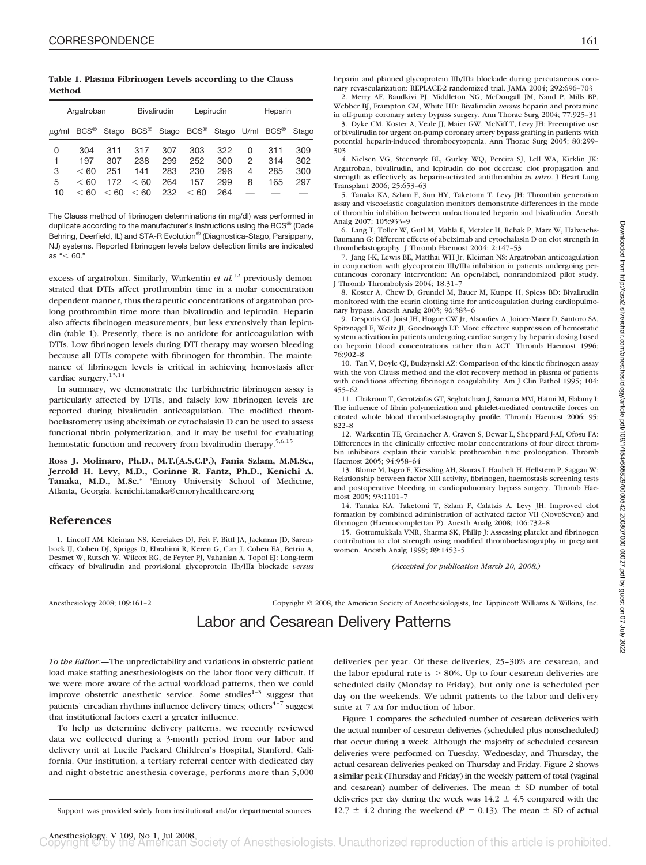**Table 1. Plasma Fibrinogen Levels according to the Clauss Method**

| Argatroban   |                    |                  | <b>Bivalirudin</b>                            |                   | Lepirudin          |                   | Heparin |                             |            |
|--------------|--------------------|------------------|-----------------------------------------------|-------------------|--------------------|-------------------|---------|-----------------------------|------------|
| $\mu$ g/ml   | $BCS^{\circledR}$  |                  | Stago BCS <sup>®</sup> Stago BCS <sup>®</sup> |                   |                    |                   |         | Stago U/ml BCS <sup>®</sup> | Stago      |
| 0<br>1       | 304<br>197         | 311<br>307       | 317<br>238                                    | 307<br>299        | 303<br>252         | 322<br>300        | O<br>2  | 311<br>314                  | 309<br>302 |
| 3<br>5<br>10 | < 60<br>< 60<br>60 | 251<br>172<br>60 | 141<br>60<br>$\,<\,$<br>60<br>←               | 283<br>264<br>232 | 230<br>157<br>< 60 | 296<br>299<br>264 | 4<br>8  | 285<br>165                  | 300<br>297 |

The Clauss method of fibrinogen determinations (in mg/dl) was performed in duplicate according to the manufacturer's instructions using the BCS® (Dade Behring, Deerfield, IL) and STA-R Evolution® (Diagnostica-Stago, Parsippany, NJ) systems. Reported fibrinogen levels below detection limits are indicated as "< 60."

excess of argatroban. Similarly, Warkentin *et al.*<sup>12</sup> previously demonstrated that DTIs affect prothrombin time in a molar concentration dependent manner, thus therapeutic concentrations of argatroban prolong prothrombin time more than bivalirudin and lepirudin. Heparin also affects fibrinogen measurements, but less extensively than lepirudin (table 1). Presently, there is no antidote for anticoagulation with DTIs. Low fibrinogen levels during DTI therapy may worsen bleeding because all DTIs compete with fibrinogen for thrombin. The maintenance of fibrinogen levels is critical in achieving hemostasis after cardiac surgery.<sup>13,14</sup>

In summary, we demonstrate the turbidmetric fibrinogen assay is particularly affected by DTIs, and falsely low fibrinogen levels are reported during bivalirudin anticoagulation. The modified thromboelastometry using abciximab or cytochalasin D can be used to assess functional fibrin polymerization, and it may be useful for evaluating hemostatic function and recovery from bivalirudin therapy.<sup>5,6,15</sup>

**Ross J. Molinaro, Ph.D., M.T.(A.S.C.P.), Fania Szlam, M.M.Sc., Jerrold H. Levy, M.D., Corinne R. Fantz, Ph.D., Kenichi A. Tanaka, M.D., M.Sc.\*** \*Emory University School of Medicine, Atlanta, Georgia. kenichi.tanaka@emoryhealthcare.org

#### **References**

1. Lincoff AM, Kleiman NS, Kereiakes DJ, Feit F, Bittl JA, Jackman JD, Sarembock IJ, Cohen DJ, Spriggs D, Ebrahimi R, Keren G, Carr J, Cohen EA, Betriu A, Desmet W, Rutsch W, Wilcox RG, de Feyter PJ, Vahanian A, Topol EJ: Long-term efficacy of bivalirudin and provisional glycoprotein IIb/IIIa blockade *versus*

heparin and planned glycoprotein IIb/IIIa blockade during percutaneous coronary revascularization: REPLACE-2 randomized trial. JAMA 2004; 292:696–703

2. Merry AF, Raudkivi PJ, Middleton NG, McDougall JM, Nand P, Mills BP, Webber BJ, Frampton CM, White HD: Bivalirudin *versus* heparin and protamine in off-pump coronary artery bypass surgery. Ann Thorac Surg 2004; 77:925–31

3. Dyke CM, Koster A, Veale JJ, Maier GW, McNiff T, Levy JH: Preemptive use of bivalirudin for urgent on-pump coronary artery bypass grafting in patients with potential heparin-induced thrombocytopenia. Ann Thorac Surg 2005; 80:299– 303

4. Nielsen VG, Steenwyk BL, Gurley WQ, Pereira SJ, Lell WA, Kirklin JK: Argatroban, bivalirudin, and lepirudin do not decrease clot propagation and strength as effectively as heparin-activated antithrombin *in vitro*. J Heart Lung Transplant 2006; 25:653–63

5. Tanaka KA, Szlam F, Sun HY, Taketomi T, Levy JH: Thrombin generation assay and viscoelastic coagulation monitors demonstrate differences in the mode of thrombin inhibition between unfractionated heparin and bivalirudin. Anesth Analg 2007; 105:933–9

6. Lang T, Toller W, Gutl M, Mahla E, Metzler H, Rehak P, Marz W, Halwachs-Baumann G: Different effects of abciximab and cytochalasin D on clot strength in thrombelastography. J Thromb Haemost 2004; 2:147–53

7. Jang I-K, Lewis BE, Matthai WH Jr, Kleiman NS: Argatroban anticoagulation in conjunction with glycoprotein IIb/IIIa inhibition in patients undergoing percutaneous coronary intervention: An open-label, nonrandomized pilot study. J Thromb Thrombolysis 2004; 18:31-7

8. Koster A, Chew D, Grundel M, Bauer M, Kuppe H, Spiess BD: Bivalirudin monitored with the ecarin clotting time for anticoagulation during cardiopulmonary bypass. Anesth Analg 2003; 96:383–6

9. Despotis GJ, Joist JH, Hogue CW Jr, Alsoufiev A, Joiner-Maier D, Santoro SA, Spitznagel E, Weitz JI, Goodnough LT: More effective suppression of hemostatic system activation in patients undergoing cardiac surgery by heparin dosing based on heparin blood concentrations rather than ACT. Thromb Haemost 1996; 76:902–8

10. Tan V, Doyle CJ, Budzynski AZ: Comparison of the kinetic fibrinogen assay with the von Clauss method and the clot recovery method in plasma of patients with conditions affecting fibrinogen coagulability. Am J Clin Pathol 1995; 104: 455–62

11. Chakroun T, Gerotziafas GT, Seghatchian J, Samama MM, Hatmi M, Elalamy I: The influence of fibrin polymerization and platelet-mediated contractile forces on citrated whole blood thromboelastography profile. Thromb Haemost 2006; 95: 822–8

12. Warkentin TE, Greinacher A, Craven S, Dewar L, Sheppard J-AI, Ofosu FA: Differences in the clinically effective molar concentrations of four direct thrombin inhibitors explain their variable prothrombin time prolongation. Thromb Haemost 2005; 94:958–64

13. Blome M, Isgro F, Kiessling AH, Skuras J, Haubelt H, Hellstern P, Saggau W: Relationship between factor XIII activity, fibrinogen, haemostasis screening tests and postoperative bleeding in cardiopulmonary bypass surgery. Thromb Haemost 2005; 93:1101–7

14. Tanaka KA, Taketomi T, Szlam F, Calatzis A, Levy JH: Improved clot formation by combined administration of activated factor VII (NovoSeven) and fibrinogen (Haemocomplettan P). Anesth Analg 2008; 106:732–8

15. Gottumukkala VNR, Sharma SK, Philip J: Assessing platelet and fibrinogen contribution to clot strength using modified thromboelastography in pregnant women. Anesth Analg 1999; 89:1453–5

*(Accepted for publication March 20, 2008.)*

Anesthesiology 2008; 109:161–2 Copyright © 2008, the American Society of Anesthesiologists, Inc. Lippincott Williams & Wilkins, Inc.

### Labor and Cesarean Delivery Patterns

*To the Editor:—*The unpredictability and variations in obstetric patient load make staffing anesthesiologists on the labor floor very difficult. If we were more aware of the actual workload patterns, then we could improve obstetric anesthetic service. Some studies<sup>1-3</sup> suggest that patients' circadian rhythms influence delivery times; others $4-7$  suggest that institutional factors exert a greater influence.

To help us determine delivery patterns, we recently reviewed data we collected during a 3-month period from our labor and delivery unit at Lucile Packard Children's Hospital, Stanford, California. Our institution, a tertiary referral center with dedicated day and night obstetric anesthesia coverage, performs more than 5,000

deliveries per year. Of these deliveries, 25–30% are cesarean, and the labor epidural rate is  $> 80\%$ . Up to four cesarean deliveries are scheduled daily (Monday to Friday), but only one is scheduled per day on the weekends. We admit patients to the labor and delivery suite at 7 AM for induction of labor.

Figure 1 compares the scheduled number of cesarean deliveries with the actual number of cesarean deliveries (scheduled plus nonscheduled) that occur during a week. Although the majority of scheduled cesarean deliveries were performed on Tuesday, Wednesday, and Thursday, the actual cesarean deliveries peaked on Thursday and Friday. Figure 2 shows a similar peak (Thursday and Friday) in the weekly pattern of total (vaginal and cesarean) number of deliveries. The mean  $\pm$  SD number of total deliveries per day during the week was  $14.2 \pm 4.5$  compared with the Support was provided solely from institutional and/or departmental sources.  $12.7 \pm 4.2$  during the weekend ( $P = 0.13$ ). The mean  $\pm$  SD of actual